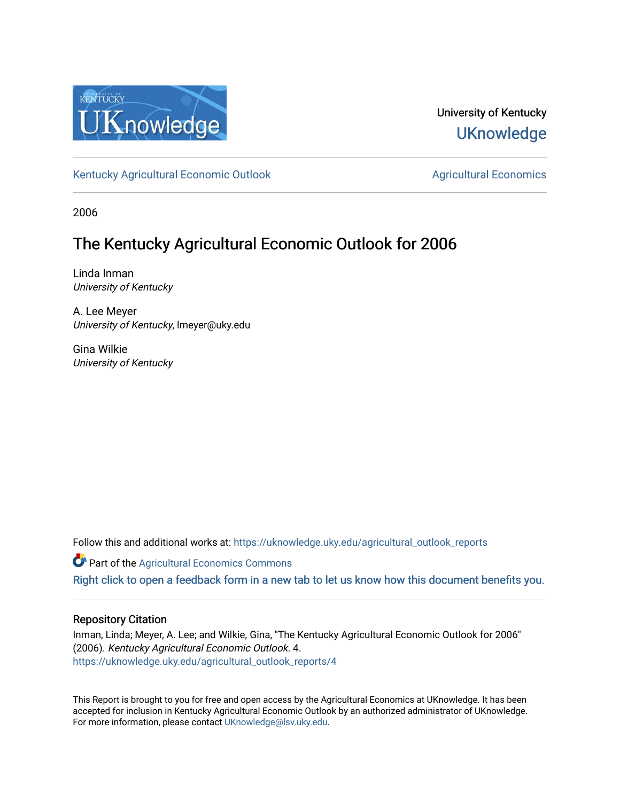

## University of Kentucky **UKnowledge**

[Kentucky Agricultural Economic Outlook](https://uknowledge.uky.edu/agricultural_outlook_reports) [Agricultural Economics](https://uknowledge.uky.edu/agecon) Agricultural Economics

2006

# The Kentucky Agricultural Economic Outlook for 2006

Linda Inman University of Kentucky

A. Lee Meyer University of Kentucky, lmeyer@uky.edu

Gina Wilkie University of Kentucky

Follow this and additional works at: [https://uknowledge.uky.edu/agricultural\\_outlook\\_reports](https://uknowledge.uky.edu/agricultural_outlook_reports?utm_source=uknowledge.uky.edu%2Fagricultural_outlook_reports%2F4&utm_medium=PDF&utm_campaign=PDFCoverPages) 

**Part of the Agricultural Economics Commons** 

[Right click to open a feedback form in a new tab to let us know how this document benefits you.](https://uky.az1.qualtrics.com/jfe/form/SV_9mq8fx2GnONRfz7)

## Repository Citation

Inman, Linda; Meyer, A. Lee; and Wilkie, Gina, "The Kentucky Agricultural Economic Outlook for 2006" (2006). Kentucky Agricultural Economic Outlook. 4. [https://uknowledge.uky.edu/agricultural\\_outlook\\_reports/4](https://uknowledge.uky.edu/agricultural_outlook_reports/4?utm_source=uknowledge.uky.edu%2Fagricultural_outlook_reports%2F4&utm_medium=PDF&utm_campaign=PDFCoverPages) 

This Report is brought to you for free and open access by the Agricultural Economics at UKnowledge. It has been accepted for inclusion in Kentucky Agricultural Economic Outlook by an authorized administrator of UKnowledge. For more information, please contact [UKnowledge@lsv.uky.edu.](mailto:UKnowledge@lsv.uky.edu)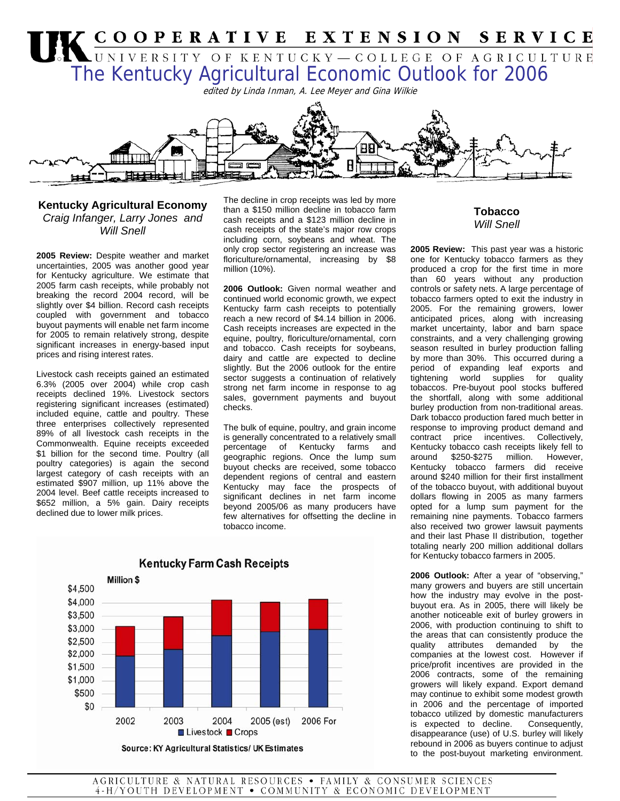

### **Kentucky Agricultural Economy** *Craig Infanger, Larry Jones and Will Snell*

**2005 Review:** Despite weather and market uncertainties, 2005 was another good year for Kentucky agriculture. We estimate that 2005 farm cash receipts, while probably not breaking the record 2004 record, will be slightly over \$4 billion. Record cash receipts coupled with government and tobacco buyout payments will enable net farm income for 2005 to remain relatively strong, despite significant increases in energy-based input prices and rising interest rates.

Livestock cash receipts gained an estimated 6.3% (2005 over 2004) while crop cash receipts declined 19%. Livestock sectors registering significant increases (estimated) included equine, cattle and poultry. These three enterprises collectively represented 89% of all livestock cash receipts in the Commonwealth. Equine receipts exceeded \$1 billion for the second time. Poultry (all poultry categories) is again the second largest category of cash receipts with an estimated \$907 million, up 11% above the 2004 level. Beef cattle receipts increased to \$652 million, a 5% gain. Dairy receipts declined due to lower milk prices.

The decline in crop receipts was led by more than a \$150 million decline in tobacco farm cash receipts and a \$123 million decline in cash receipts of the state's major row crops including corn, soybeans and wheat. The only crop sector registering an increase was floriculture/ornamental, increasing by \$8 million (10%).

**2006 Outlook:** Given normal weather and continued world economic growth, we expect Kentucky farm cash receipts to potentially reach a new record of \$4.14 billion in 2006. Cash receipts increases are expected in the equine, poultry, floriculture/ornamental, corn and tobacco. Cash receipts for soybeans, dairy and cattle are expected to decline slightly. But the 2006 outlook for the entire sector suggests a continuation of relatively strong net farm income in response to ag sales, government payments and buyout checks.

The bulk of equine, poultry, and grain income is generally concentrated to a relatively small percentage of Kentucky farms and geographic regions. Once the lump sum buyout checks are received, some tobacco dependent regions of central and eastern Kentucky may face the prospects of significant declines in net farm income beyond 2005/06 as many producers have few alternatives for offsetting the decline in tobacco income.



## **Tobacco**  *Will Snell*

**2005 Review:** This past year was a historic one for Kentucky tobacco farmers as they produced a crop for the first time in more than 60 years without any production controls or safety nets. A large percentage of tobacco farmers opted to exit the industry in 2005. For the remaining growers, lower anticipated prices, along with increasing market uncertainty, labor and barn space constraints, and a very challenging growing season resulted in burley production falling by more than 30%. This occurred during a period of expanding leaf exports and tightening world supplies for quality tobaccos. Pre-buyout pool stocks buffered the shortfall, along with some additional burley production from non-traditional areas. Dark tobacco production fared much better in response to improving product demand and contract price incentives. Collectively, Kentucky tobacco cash receipts likely fell to around \$250-\$275 million. However, Kentucky tobacco farmers did receive around \$240 million for their first installment of the tobacco buyout, with additional buyout dollars flowing in 2005 as many farmers opted for a lump sum payment for the remaining nine payments. Tobacco farmers also received two grower lawsuit payments and their last Phase II distribution, together totaling nearly 200 million additional dollars for Kentucky tobacco farmers in 2005.

**2006 Outlook:** After a year of "observing," many growers and buyers are still uncertain how the industry may evolve in the postbuyout era. As in 2005, there will likely be another noticeable exit of burley growers in 2006, with production continuing to shift to the areas that can consistently produce the quality attributes demanded by the companies at the lowest cost. However if price/profit incentives are provided in the 2006 contracts, some of the remaining growers will likely expand. Export demand may continue to exhibit some modest growth in 2006 and the percentage of imported tobacco utilized by domestic manufacturers is expected to decline. Consequently, disappearance (use) of U.S. burley will likely rebound in 2006 as buyers continue to adjust to the post-buyout marketing environment.

AGRICULTURE & NATURAL RESOURCES . FAMILY & CONSUMER SCIENCES 4-H/YOUTH DEVELOPMENT . COMMUNITY & ECONOMIC DEVELOPMENT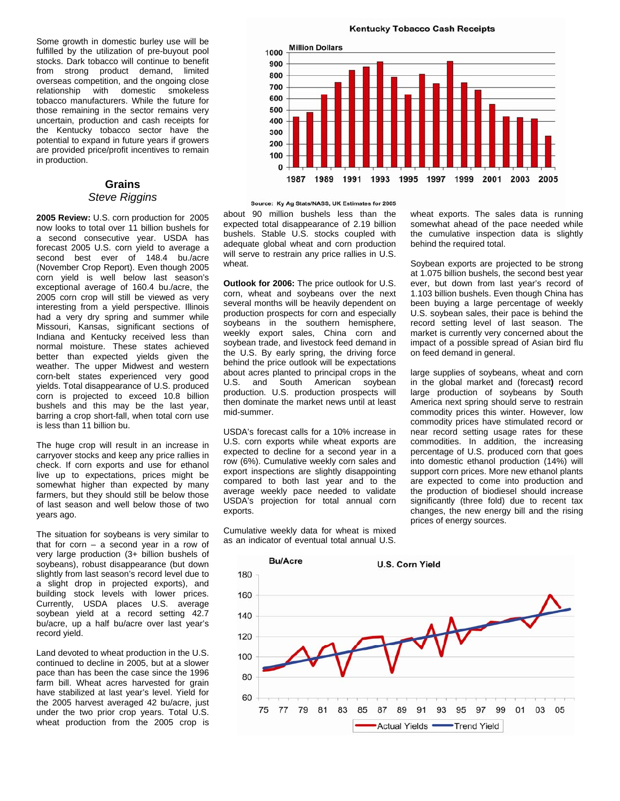Some growth in domestic burley use will be fulfilled by the utilization of pre-buyout pool stocks. Dark tobacco will continue to benefit from strong product demand, limited overseas competition, and the ongoing close relationship with domestic smokeless tobacco manufacturers. While the future for those remaining in the sector remains very uncertain, production and cash receipts for the Kentucky tobacco sector have the potential to expand in future years if growers are provided price/profit incentives to remain in production.

#### **Grains**  *Steve Riggins*

**2005 Review:** U.S. corn production for 2005 now looks to total over 11 billion bushels for a second consecutive year. USDA has forecast 2005 U.S. corn yield to average a second best ever of 148.4 bu./acre (November Crop Report). Even though 2005 corn yield is well below last season's exceptional average of 160.4 bu./acre, the 2005 corn crop will still be viewed as very interesting from a yield perspective. Illinois had a very dry spring and summer while Missouri, Kansas, significant sections of Indiana and Kentucky received less than normal moisture. These states achieved better than expected yields given the weather. The upper Midwest and western corn-belt states experienced very good yields. Total disappearance of U.S. produced corn is projected to exceed 10.8 billion bushels and this may be the last year, barring a crop short-fall, when total corn use is less than 11 billion bu.

The huge crop will result in an increase in carryover stocks and keep any price rallies in check. If corn exports and use for ethanol live up to expectations, prices might be somewhat higher than expected by many farmers, but they should still be below those of last season and well below those of two years ago.

The situation for soybeans is very similar to that for corn  $-$  a second year in a row of very large production (3+ billion bushels of soybeans), robust disappearance (but down slightly from last season's record level due to a slight drop in projected exports), and building stock levels with lower prices. Currently, USDA places U.S. average soybean yield at a record setting 42.7 bu/acre, up a half bu/acre over last year's record yield.

Land devoted to wheat production in the U.S. continued to decline in 2005, but at a slower pace than has been the case since the 1996 farm bill. Wheat acres harvested for grain have stabilized at last year's level. Yield for the 2005 harvest averaged 42 bu/acre, just under the two prior crop years. Total U.S. wheat production from the 2005 crop is

**Kentucky Tobacco Cash Receipts** 



Source: Ky Ag Stats/NASS, UK Estimates for 2005

about 90 million bushels less than the expected total disappearance of 2.19 billion bushels. Stable U.S. stocks coupled with adequate global wheat and corn production will serve to restrain any price rallies in U.S. wheat.

**Outlook for 2006:** The price outlook for U.S. corn, wheat and soybeans over the next several months will be heavily dependent on production prospects for corn and especially soybeans in the southern hemisphere, weekly export sales, China corn and soybean trade, and livestock feed demand in the U.S. By early spring, the driving force behind the price outlook will be expectations about acres planted to principal crops in the U.S. and South American soybean production. U.S. production prospects will then dominate the market news until at least mid-summer.

USDA's forecast calls for a 10% increase in U.S. corn exports while wheat exports are expected to decline for a second year in a row (6%). Cumulative weekly corn sales and export inspections are slightly disappointing compared to both last year and to the average weekly pace needed to validate USDA's projection for total annual corn exports.

Cumulative weekly data for wheat is mixed as an indicator of eventual total annual U.S.

wheat exports. The sales data is running somewhat ahead of the pace needed while the cumulative inspection data is slightly behind the required total.

Soybean exports are projected to be strong at 1.075 billion bushels, the second best year ever, but down from last year's record of 1.103 billion bushels. Even though China has been buying a large percentage of weekly U.S. soybean sales, their pace is behind the record setting level of last season. The market is currently very concerned about the impact of a possible spread of Asian bird flu on feed demand in general.

large supplies of soybeans, wheat and corn in the global market and (forecast**)** record large production of soybeans by South America next spring should serve to restrain commodity prices this winter. However, low commodity prices have stimulated record or near record setting usage rates for these commodities. In addition, the increasing percentage of U.S. produced corn that goes into domestic ethanol production (14%) will support corn prices. More new ethanol plants are expected to come into production and the production of biodiesel should increase significantly (three fold) due to recent tax changes, the new energy bill and the rising prices of energy sources.

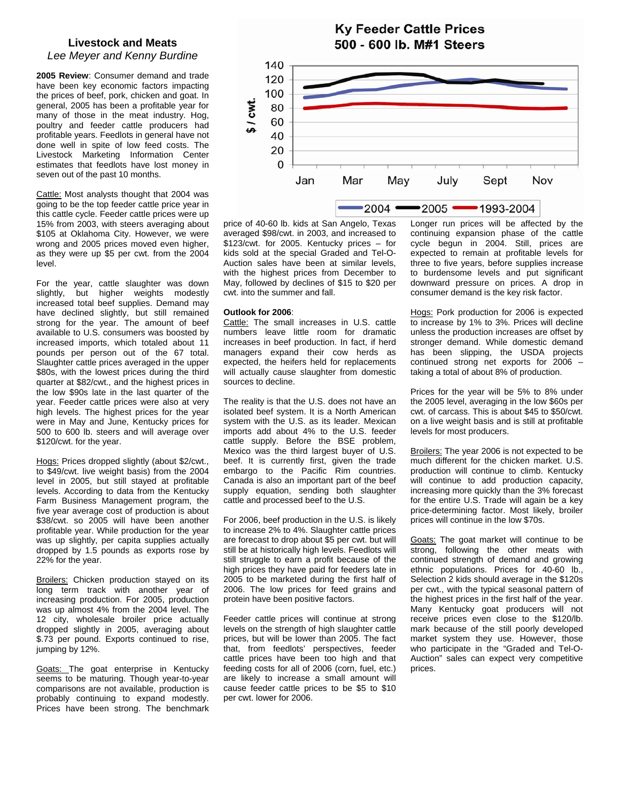### **Livestock and Meats**  *Lee Meyer and Kenny Burdine*

**2005 Review**: Consumer demand and trade have been key economic factors impacting the prices of beef, pork, chicken and goat. In general, 2005 has been a profitable year for many of those in the meat industry. Hog, poultry and feeder cattle producers had profitable years. Feedlots in general have not done well in spite of low feed costs. The Livestock Marketing Information Center estimates that feedlots have lost money in seven out of the past 10 months.

Cattle: Most analysts thought that 2004 was going to be the top feeder cattle price year in this cattle cycle. Feeder cattle prices were up 15% from 2003, with steers averaging about \$105 at Oklahoma City. However, we were wrong and 2005 prices moved even higher, as they were up \$5 per cwt. from the 2004 level.

For the year, cattle slaughter was down slightly, but higher weights modestly increased total beef supplies. Demand may have declined slightly, but still remained strong for the year. The amount of beef available to U.S. consumers was boosted by increased imports, which totaled about 11 pounds per person out of the 67 total. Slaughter cattle prices averaged in the upper \$80s, with the lowest prices during the third quarter at \$82/cwt., and the highest prices in the low \$90s late in the last quarter of the year. Feeder cattle prices were also at very high levels. The highest prices for the year were in May and June, Kentucky prices for 500 to 600 lb. steers and will average over \$120/cwt. for the year.

Hogs: Prices dropped slightly (about \$2/cwt., to \$49/cwt. live weight basis) from the 2004 level in 2005, but still stayed at profitable levels. According to data from the Kentucky Farm Business Management program, the five year average cost of production is about \$38/cwt. so 2005 will have been another profitable year. While production for the year was up slightly, per capita supplies actually dropped by 1.5 pounds as exports rose by 22% for the year.

**Broilers:** Chicken production stayed on its long term track with another year of increasing production. For 2005, production was up almost 4% from the 2004 level. The 12 city, wholesale broiler price actually dropped slightly in 2005, averaging about \$.73 per pound. Exports continued to rise, jumping by 12%.

Goats: The goat enterprise in Kentucky seems to be maturing. Though year-to-year comparisons are not available, production is probably continuing to expand modestly. Prices have been strong. The benchmark



**Ky Feeder Cattle Prices** 

price of 40-60 lb. kids at San Angelo, Texas averaged \$98/cwt. in 2003, and increased to \$123/cwt. for 2005. Kentucky prices – for kids sold at the special Graded and Tel-O-Auction sales have been at similar levels, with the highest prices from December to May, followed by declines of \$15 to \$20 per cwt. into the summer and fall.

#### **Outlook for 2006**:

Cattle: The small increases in U.S. cattle numbers leave little room for dramatic increases in beef production. In fact, if herd managers expand their cow herds as expected, the heifers held for replacements will actually cause slaughter from domestic sources to decline.

The reality is that the U.S. does not have an isolated beef system. It is a North American system with the U.S. as its leader. Mexican imports add about 4% to the U.S. feeder cattle supply. Before the BSE problem, Mexico was the third largest buyer of U.S. beef. It is currently first, given the trade embargo to the Pacific Rim countries. Canada is also an important part of the beef supply equation, sending both slaughter cattle and processed beef to the U.S.

For 2006, beef production in the U.S. is likely to increase 2% to 4%. Slaughter cattle prices are forecast to drop about \$5 per cwt. but will still be at historically high levels. Feedlots will still struggle to earn a profit because of the high prices they have paid for feeders late in 2005 to be marketed during the first half of 2006. The low prices for feed grains and protein have been positive factors.

Feeder cattle prices will continue at strong levels on the strength of high slaughter cattle prices, but will be lower than 2005. The fact that, from feedlots' perspectives, feeder cattle prices have been too high and that feeding costs for all of 2006 (corn, fuel, etc.) are likely to increase a small amount will cause feeder cattle prices to be \$5 to \$10 per cwt. lower for 2006.

Longer run prices will be affected by the continuing expansion phase of the cattle cycle begun in 2004. Still, prices are expected to remain at profitable levels for three to five years, before supplies increase to burdensome levels and put significant downward pressure on prices. A drop in consumer demand is the key risk factor.

Hogs: Pork production for 2006 is expected to increase by 1% to 3%. Prices will decline unless the production increases are offset by stronger demand. While domestic demand has been slipping, the USDA projects continued strong net exports for 2006 – taking a total of about 8% of production.

Prices for the year will be 5% to 8% under the 2005 level, averaging in the low \$60s per cwt. of carcass. This is about \$45 to \$50/cwt. on a live weight basis and is still at profitable levels for most producers.

Broilers: The year 2006 is not expected to be much different for the chicken market. U.S. production will continue to climb. Kentucky will continue to add production capacity, increasing more quickly than the 3% forecast for the entire U.S. Trade will again be a key price-determining factor. Most likely, broiler prices will continue in the low \$70s.

Goats: The goat market will continue to be strong, following the other meats with continued strength of demand and growing ethnic populations. Prices for 40-60 lb., Selection 2 kids should average in the \$120s per cwt., with the typical seasonal pattern of the highest prices in the first half of the year. Many Kentucky goat producers will not receive prices even close to the \$120/lb. mark because of the still poorly developed market system they use. However, those who participate in the "Graded and Tel-O-Auction" sales can expect very competitive prices.